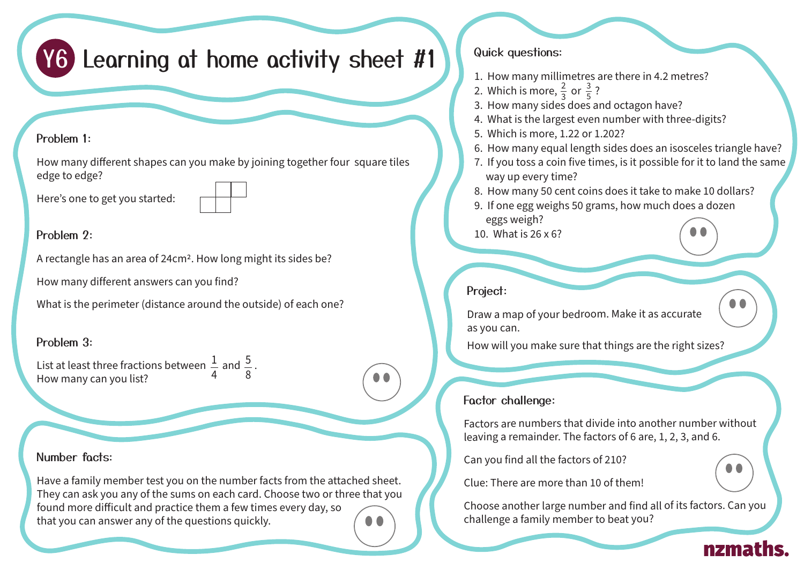# Y6 Learning at home activity sheet #1

### Problem 1:

How many different shapes can you make by joining together four square tiles edge to edge?

Here's one to get you started:



### Problem 2.

A rectangle has an area of 24cm2. How long might its sides be?

How many different answers can you find?

What is the perimeter (distance around the outside) of each one?

# Problem 3:

1 4 List at least three fractions between  $\frac{1}{4}$  and  $\frac{5}{8}$ . How many can you list? 8

# Number facts:

Have a family member test you on the number facts from the attached sheet. They can ask you any of the sums on each card. Choose two or three that you found more difficult and practice them a few times every day, so that you can answer any of the questions quickly.

#### Quick questions:

- 1. How many millimetres are there in 4.2 metres?
- 2. Which is more,  $\frac{2}{3}$  or  $\frac{3}{5}$ ? 5
- $\frac{21}{3}$ . How many sides does and octagon have?
- 4. What is the largest even number with three-digits?
- 5. Which is more, 1.22 or 1.202?
- 6. How many equal length sides does an isosceles triangle have?
- 7. If you toss a coin five times, is it possible for it to land the same way up every time?
- 8. How many 50 cent coins does it take to make 10 dollars?
- 9. If one egg weighs 50 grams, how much does a dozen eggs weigh?
- 10. What is 26 x 6?

# Project:

Draw a map of your bedroom. Make it as accurate as you can.

How will you make sure that things are the right sizes?

# Factor challenge:

Factors are numbers that divide into another number without leaving a remainder. The factors of 6 are, 1, 2, 3, and 6.

Can you find all the factors of 210?

Clue: There are more than 10 of them!

Choose another large number and find all of its factors. Can you challenge a family member to beat you?

 $\bullet\bullet$ 

nzmaths.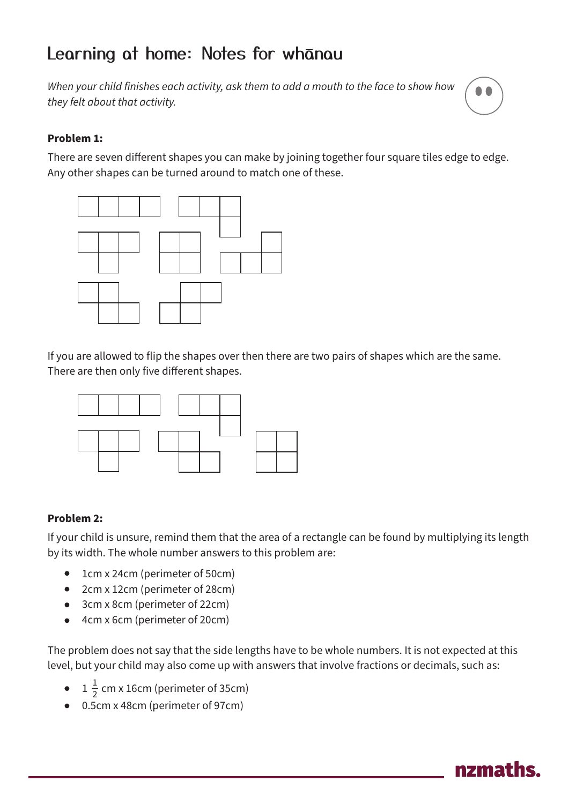# Learning at home: Notes for whanau

*When your child finishes each activity, ask them to add a mouth to the face to show how they felt about that activity.*



#### **Problem 1:**

There are seven different shapes you can make by joining together four square tiles edge to edge. Any other shapes can be turned around to match one of these.



If you are allowed to flip the shapes over then there are two pairs of shapes which are the same. There are then only five different shapes.



#### **Problem 2:**

If your child is unsure, remind them that the area of a rectangle can be found by multiplying its length by its width. The whole number answers to this problem are:

- 1cm x 24cm (perimeter of 50cm)
- 2cm x 12cm (perimeter of 28cm)
- 3cm x 8cm (perimeter of 22cm)
- 4cm x 6cm (perimeter of 20cm)

The problem does not say that the side lengths have to be whole numbers. It is not expected at this level, but your child may also come up with answers that involve fractions or decimals, such as:

- $1\frac{1}{2}$  cm x 16cm (perimeter of 35cm) 2
- 0.5cm x 48cm (perimeter of 97cm)

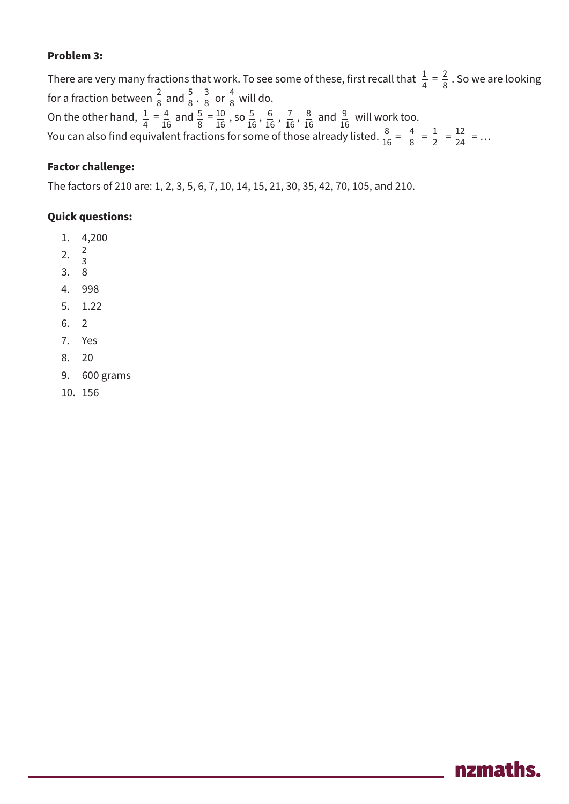#### **Problem 3:**

There are very many fractions that work. To see some of these, first recall that  $\frac{1}{4} = \frac{2}{8}$  . So we are looking for a fraction between  $\frac{2}{8}$  and  $\frac{2}{8}$ .  $\frac{2}{8}$  or  $\frac{1}{8}$  will do. On the other hand,  $\frac{1}{4} = \frac{4}{16}$  and  $\frac{5}{8} = \frac{10}{16}$ , so  $\frac{5}{16}$ ,  $\frac{6}{16}$ ,  $\frac{7}{16}$ ,  $\frac{8}{16}$  and  $\frac{9}{16}$  will work too. You can also find equivalent fractions for some of those already listed.  $\frac{8}{16} = \frac{1}{8} = \frac{1}{2} = \frac{12}{24} = \dots$  1  $16$   $8$  16  $\frac{16}{16}$  16  $\frac{16}{16}$  16  $\frac{16}{16}$  16  $\frac{16}{16}$  16  $\frac{16}{16}$  16  $\frac{16}{16}$  16  $\frac{16}{16}$  16  $\frac{16}{16}$  16  $\frac{16}{16}$  16  $\frac{16}{16}$  16  $\frac{16}{16}$  16  $\frac{16}{16}$  16  $\frac{16}{16}$  16  $\frac{16}{16}$  16  $\frac{16}{1$  

#### **Factor challenge:**

The factors of 210 are: 1, 2, 3, 5, 6, 7, 10, 14, 15, 21, 30, 35, 42, 70, 105, and 210.

#### **Quick questions:**

- 1. 4,200
- 2.  $\frac{2}{3}$ 
	- 3. 8
	- 4. 998
	- 5. 1.22
	- 6. 2
	- 7. Yes
	- 8. 20
	- 9. 600 grams
	- 10. 156

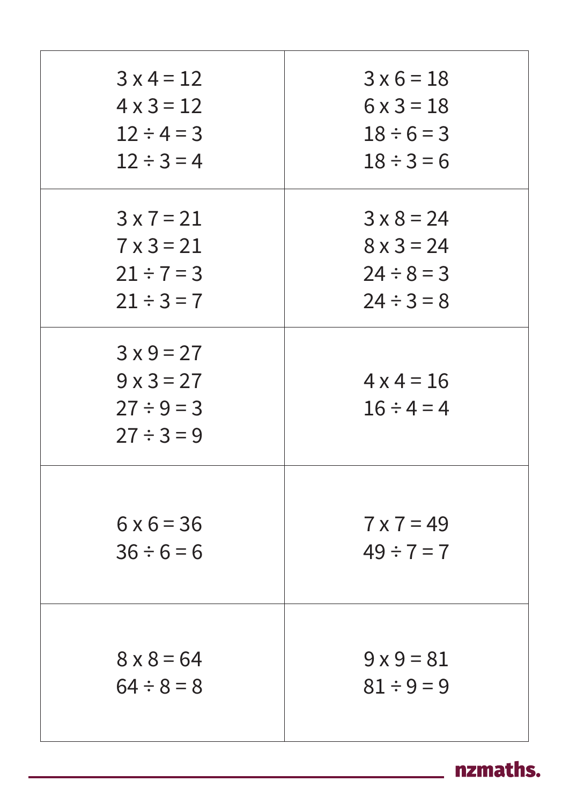| $3 \times 4 = 12$                                                   | $3 \times 6 = 18$                    |
|---------------------------------------------------------------------|--------------------------------------|
| $4 \times 3 = 12$                                                   | $6 \times 3 = 18$                    |
| $12 \div 4 = 3$                                                     | $18 \div 6 = 3$                      |
| $12 \div 3 = 4$                                                     | $18 \div 3 = 6$                      |
| $3 \times 7 = 21$                                                   | $3 \times 8 = 24$                    |
| $7 \times 3 = 21$                                                   | $8 \times 3 = 24$                    |
| $21 \div 7 = 3$                                                     | $24 \div 8 = 3$                      |
| $21 \div 3 = 7$                                                     | $24 \div 3 = 8$                      |
| $3x9=27$<br>$9 \times 3 = 27$<br>$27 \div 9 = 3$<br>$27 \div 3 = 9$ | $4 \times 4 = 16$<br>$16 \div 4 = 4$ |
| $6 \times 6 = 36$                                                   | $7 \times 7 = 49$                    |
| $36 \div 6 = 6$                                                     | $49 \div 7 = 7$                      |
| $8 \times 8 = 64$                                                   | $9 \times 9 = 81$                    |
| $64 \div 8 = 8$                                                     | $81 \div 9 = 9$                      |

nzmaths.